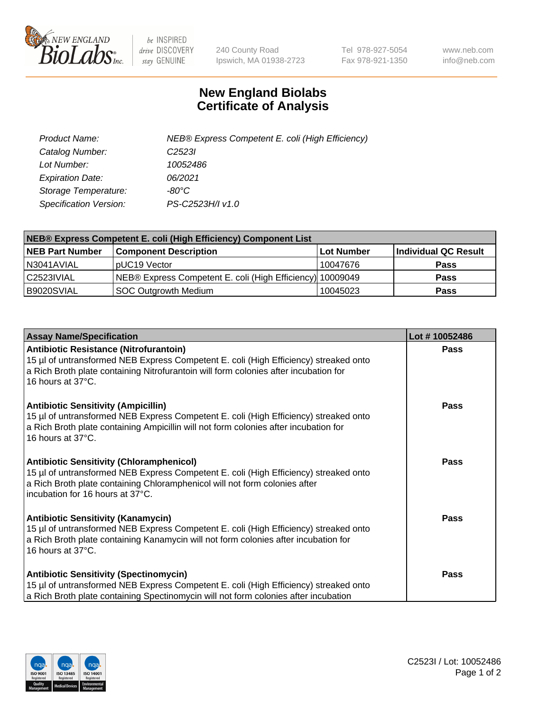

 $be$  INSPIRED drive DISCOVERY stay GENUINE

240 County Road Ipswich, MA 01938-2723 Tel 978-927-5054 Fax 978-921-1350 www.neb.com info@neb.com

## **New England Biolabs Certificate of Analysis**

| Product Name:           | NEB® Express Competent E. coli (High Efficiency) |
|-------------------------|--------------------------------------------------|
| Catalog Number:         | C <sub>2523</sub>                                |
| Lot Number:             | 10052486                                         |
| <b>Expiration Date:</b> | 06/2021                                          |
| Storage Temperature:    | -80°C                                            |
| Specification Version:  | PS-C2523H/I v1.0                                 |

| <b>NEB® Express Competent E. coli (High Efficiency) Component List</b> |                                                           |            |                      |  |
|------------------------------------------------------------------------|-----------------------------------------------------------|------------|----------------------|--|
| <b>NEB Part Number</b>                                                 | <b>Component Description</b>                              | Lot Number | Individual QC Result |  |
| N3041AVIAL                                                             | pUC19 Vector                                              | 10047676   | <b>Pass</b>          |  |
| C2523IVIAL                                                             | NEB® Express Competent E. coli (High Efficiency) 10009049 |            | <b>Pass</b>          |  |
| B9020SVIAL                                                             | <b>SOC Outgrowth Medium</b>                               | 10045023   | <b>Pass</b>          |  |

| <b>Assay Name/Specification</b>                                                                                                                                                                                                                           | Lot #10052486 |
|-----------------------------------------------------------------------------------------------------------------------------------------------------------------------------------------------------------------------------------------------------------|---------------|
| Antibiotic Resistance (Nitrofurantoin)<br>15 µl of untransformed NEB Express Competent E. coli (High Efficiency) streaked onto<br>a Rich Broth plate containing Nitrofurantoin will form colonies after incubation for<br>16 hours at 37°C.               | <b>Pass</b>   |
| <b>Antibiotic Sensitivity (Ampicillin)</b><br>15 µl of untransformed NEB Express Competent E. coli (High Efficiency) streaked onto<br>a Rich Broth plate containing Ampicillin will not form colonies after incubation for<br>16 hours at 37°C.           | Pass          |
| <b>Antibiotic Sensitivity (Chloramphenicol)</b><br>15 µl of untransformed NEB Express Competent E. coli (High Efficiency) streaked onto<br>a Rich Broth plate containing Chloramphenicol will not form colonies after<br>incubation for 16 hours at 37°C. | Pass          |
| <b>Antibiotic Sensitivity (Kanamycin)</b><br>15 µl of untransformed NEB Express Competent E. coli (High Efficiency) streaked onto<br>a Rich Broth plate containing Kanamycin will not form colonies after incubation for<br>16 hours at 37°C.             | <b>Pass</b>   |
| <b>Antibiotic Sensitivity (Spectinomycin)</b><br>15 µl of untransformed NEB Express Competent E. coli (High Efficiency) streaked onto<br>a Rich Broth plate containing Spectinomycin will not form colonies after incubation                              | Pass          |